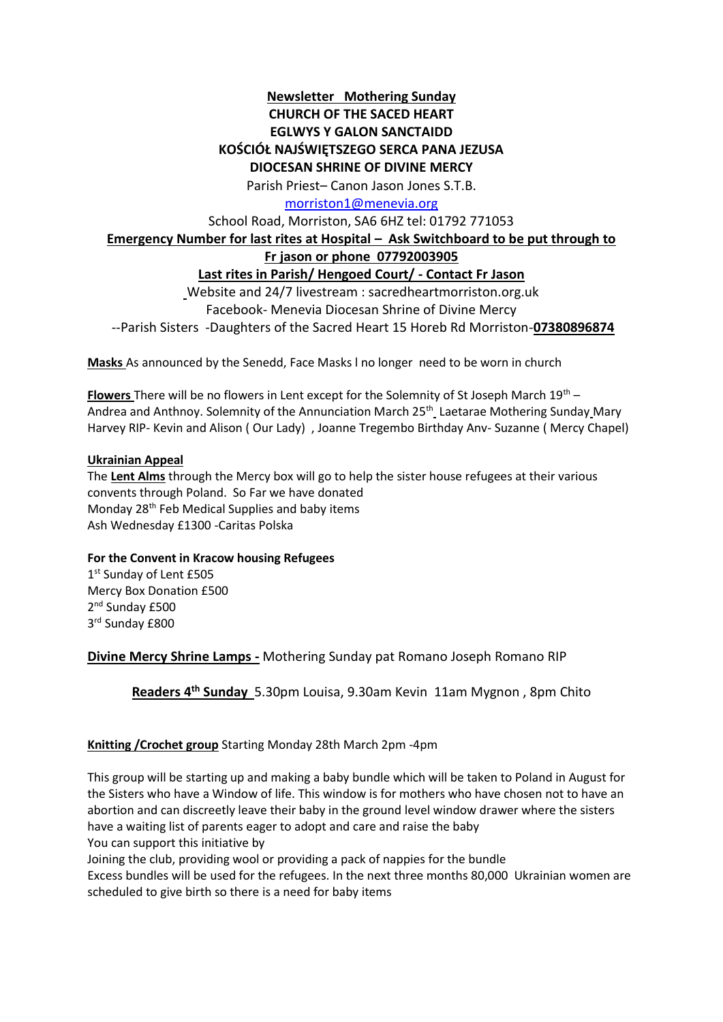## **Newsletter Mothering Sunday CHURCH OF THE SACED HEART EGLWYS Y GALON SANCTAIDD KOŚCIÓŁ NAJŚWIĘTSZEGO SERCA PANA JEZUSA DIOCESAN SHRINE OF DIVINE MERCY**

Parish Priest– Canon Jason Jones S.T.B.

[morriston1@menevia.org](mailto:morriston1@menevia.org)

School Road, Morriston, SA6 6HZ tel: 01792 771053

# **Emergency Number for last rites at Hospital – Ask Switchboard to be put through to**

**Fr jason or phone 07792003905**

### **Last rites in Parish/ Hengoed Court/ - Contact Fr Jason**

Website and 24/7 livestream : sacredheartmorriston.org.uk Facebook- Menevia Diocesan Shrine of Divine Mercy --Parish Sisters -Daughters of the Sacred Heart 15 Horeb Rd Morriston-**07380896874**

**Masks** As announced by the Senedd, Face Masks l no longer need to be worn in church

**Flowers** There will be no flowers in Lent except for the Solemnity of St Joseph March 19th – Andrea and Anthnoy. Solemnity of the Annunciation March 25<sup>th</sup> Laetarae Mothering Sunday Mary Harvey RIP- Kevin and Alison ( Our Lady) , Joanne Tregembo Birthday Anv- Suzanne ( Mercy Chapel)

#### **Ukrainian Appeal**

The **Lent Alms** through the Mercy box will go to help the sister house refugees at their various convents through Poland. So Far we have donated Monday 28<sup>th</sup> Feb Medical Supplies and baby items Ash Wednesday £1300 -Caritas Polska

#### **For the Convent in Kracow housing Refugees**

1st Sunday of Lent £505 Mercy Box Donation £500 2<sup>nd</sup> Sunday £500 3 rd Sunday £800

**Divine Mercy Shrine Lamps -** Mothering Sunday pat Romano Joseph Romano RIP

**Readers 4 th Sunday** 5.30pm Louisa, 9.30am Kevin 11am Mygnon , 8pm Chito

### **Knitting /Crochet group** Starting Monday 28th March 2pm -4pm

This group will be starting up and making a baby bundle which will be taken to Poland in August for the Sisters who have a Window of life. This window is for mothers who have chosen not to have an abortion and can discreetly leave their baby in the ground level window drawer where the sisters have a waiting list of parents eager to adopt and care and raise the baby You can support this initiative by

Joining the club, providing wool or providing a pack of nappies for the bundle

Excess bundles will be used for the refugees. In the next three months 80,000 Ukrainian women are scheduled to give birth so there is a need for baby items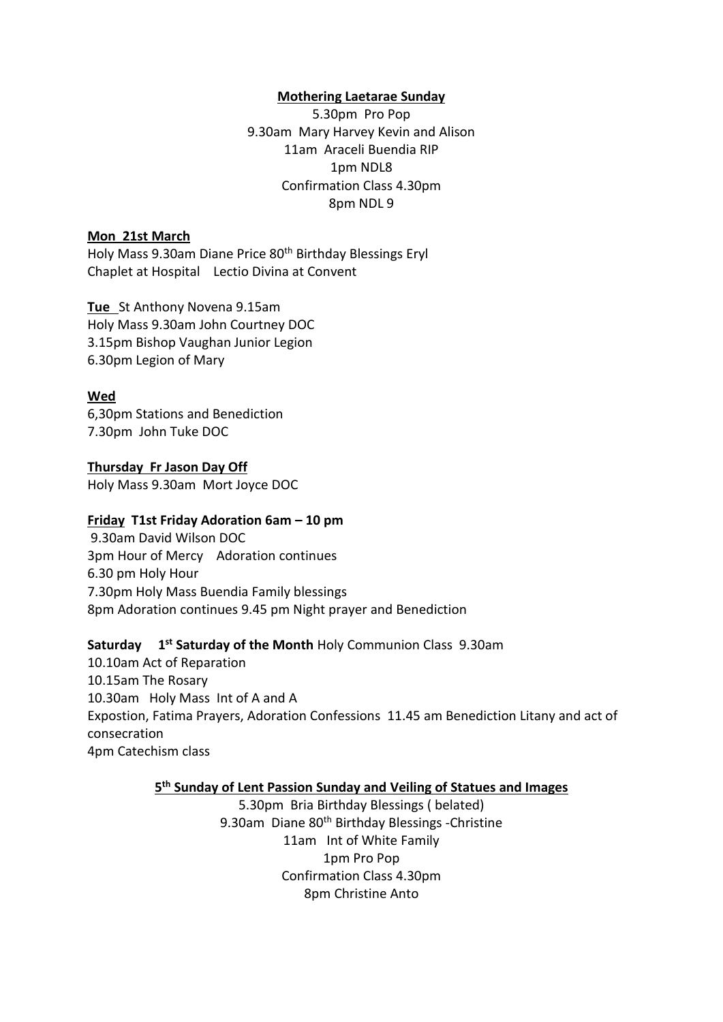#### **Mothering Laetarae Sunday**

5.30pm Pro Pop 9.30am Mary Harvey Kevin and Alison 11am Araceli Buendia RIP 1pm NDL8 Confirmation Class 4.30pm 8pm NDL 9

#### **Mon 21st March**

Holy Mass 9.30am Diane Price 80<sup>th</sup> Birthday Blessings Eryl Chaplet at Hospital Lectio Divina at Convent

**Tue** St Anthony Novena 9.15am Holy Mass 9.30am John Courtney DOC 3.15pm Bishop Vaughan Junior Legion 6.30pm Legion of Mary

### **Wed**

6,30pm Stations and Benediction 7.30pm John Tuke DOC

**Thursday Fr Jason Day Off** 

Holy Mass 9.30am Mort Joyce DOC

### **Friday T1st Friday Adoration 6am – 10 pm**

9.30am David Wilson DOC 3pm Hour of Mercy Adoration continues 6.30 pm Holy Hour 7.30pm Holy Mass Buendia Family blessings 8pm Adoration continues 9.45 pm Night prayer and Benediction

### Saturday 1<sup>st</sup> Saturday of the Month Holy Communion Class 9.30am

10.10am Act of Reparation 10.15am The Rosary 10.30am Holy Mass Int of A and A Expostion, Fatima Prayers, Adoration Confessions 11.45 am Benediction Litany and act of consecration 4pm Catechism class

### **5 th Sunday of Lent Passion Sunday and Veiling of Statues and Images**

5.30pm Bria Birthday Blessings ( belated) 9.30am Diane 80<sup>th</sup> Birthday Blessings -Christine 11am Int of White Family 1pm Pro Pop Confirmation Class 4.30pm 8pm Christine Anto